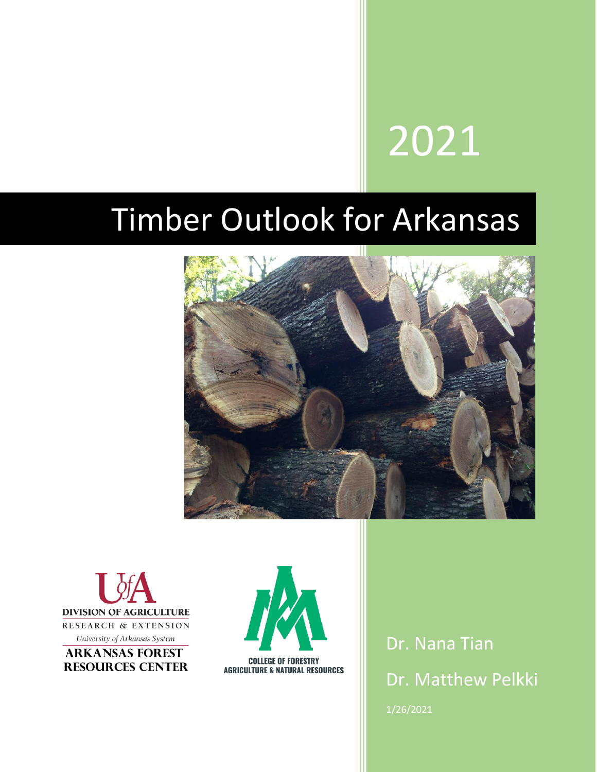# 2021

# Timber Outlook for Arkansas







Dr. Nana Tian Dr. Matthew Pelkki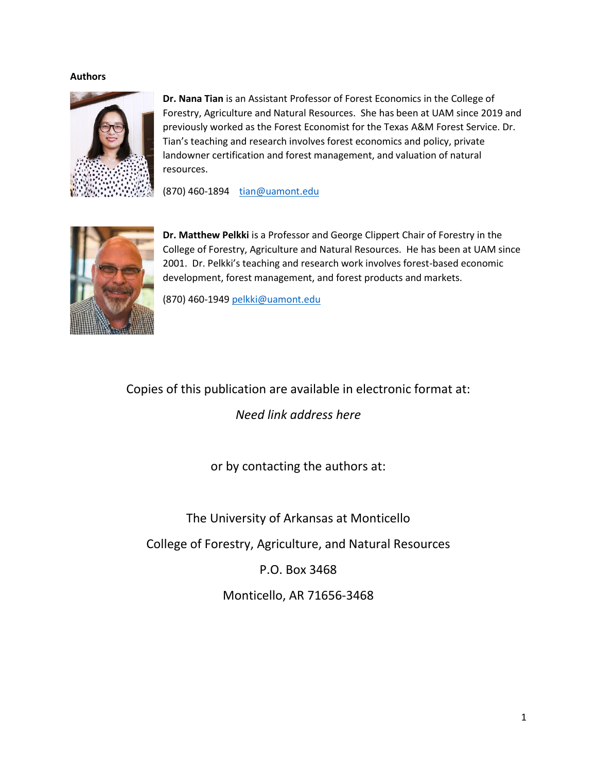#### **Authors**



**Dr. Nana Tian** is an Assistant Professor of Forest Economics in the College of Forestry, Agriculture and Natural Resources. She has been at UAM since 2019 and previously worked as the Forest Economist for the Texas A&M Forest Service. Dr. Tian's teaching and research involves forest economics and policy, private landowner certification and forest management, and valuation of natural resources.

(870) 460-1894 [tian@uamont.edu](mailto:tian@uamont.edu)



**Dr. Matthew Pelkki** is a Professor and George Clippert Chair of Forestry in the College of Forestry, Agriculture and Natural Resources. He has been at UAM since 2001. Dr. Pelkki's teaching and research work involves forest-based economic development, forest management, and forest products and markets.

(870) 460-1949 [pelkki@uamont.edu](mailto:pelkki@uamont.edu)

## Copies of this publication are available in electronic format at:

*Need link address here*

or by contacting the authors at:

The University of Arkansas at Monticello

College of Forestry, Agriculture, and Natural Resources

P.O. Box 3468

Monticello, AR 71656-3468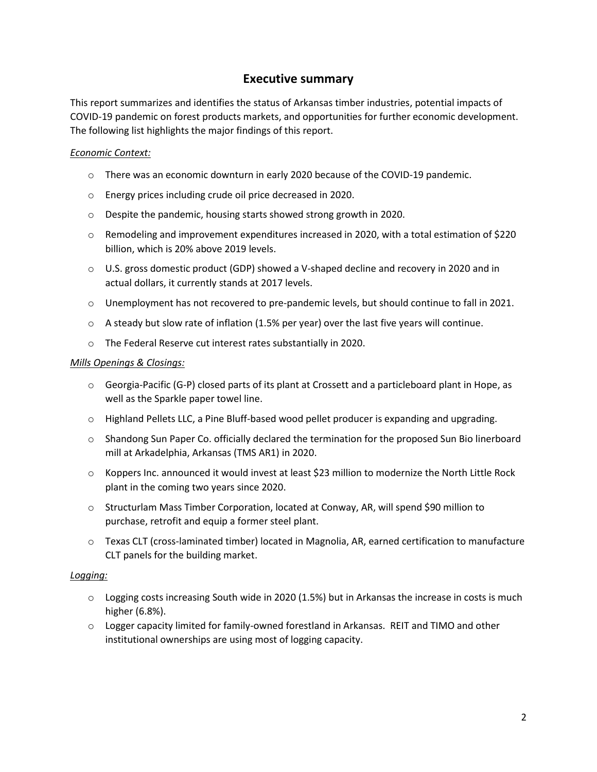## **Executive summary**

This report summarizes and identifies the status of Arkansas timber industries, potential impacts of COVID-19 pandemic on forest products markets, and opportunities for further economic development. The following list highlights the major findings of this report.

#### *Economic Context:*

- $\circ$  There was an economic downturn in early 2020 because of the COVID-19 pandemic.
- o Energy prices including crude oil price decreased in 2020.
- o Despite the pandemic, housing starts showed strong growth in 2020.
- o Remodeling and improvement expenditures increased in 2020, with a total estimation of \$220 billion, which is 20% above 2019 levels.
- o U.S. gross domestic product (GDP) showed a V-shaped decline and recovery in 2020 and in actual dollars, it currently stands at 2017 levels.
- $\circ$  Unemployment has not recovered to pre-pandemic levels, but should continue to fall in 2021.
- $\circ$  A steady but slow rate of inflation (1.5% per year) over the last five years will continue.
- o The Federal Reserve cut interest rates substantially in 2020.

#### *Mills Openings & Closings:*

- $\circ$  Georgia-Pacific (G-P) closed parts of its plant at Crossett and a particleboard plant in Hope, as well as the Sparkle paper towel line.
- $\circ$  Highland Pellets LLC, a Pine Bluff-based wood pellet producer is expanding and upgrading.
- o Shandong Sun Paper Co. officially declared the termination for the proposed Sun Bio linerboard mill at Arkadelphia, Arkansas (TMS AR1) in 2020.
- $\circ$  Koppers Inc. announced it would invest at least \$23 million to modernize the North Little Rock plant in the coming two years since 2020.
- o Structurlam Mass Timber Corporation, located at Conway, AR, will spend \$90 million to purchase, retrofit and equip a former steel plant.
- o Texas CLT (cross-laminated timber) located in Magnolia, AR, earned certification to manufacture CLT panels for the building market.

#### *Logging:*

- $\circ$  Logging costs increasing South wide in 2020 (1.5%) but in Arkansas the increase in costs is much higher (6.8%).
- $\circ$  Logger capacity limited for family-owned forestland in Arkansas. REIT and TIMO and other institutional ownerships are using most of logging capacity.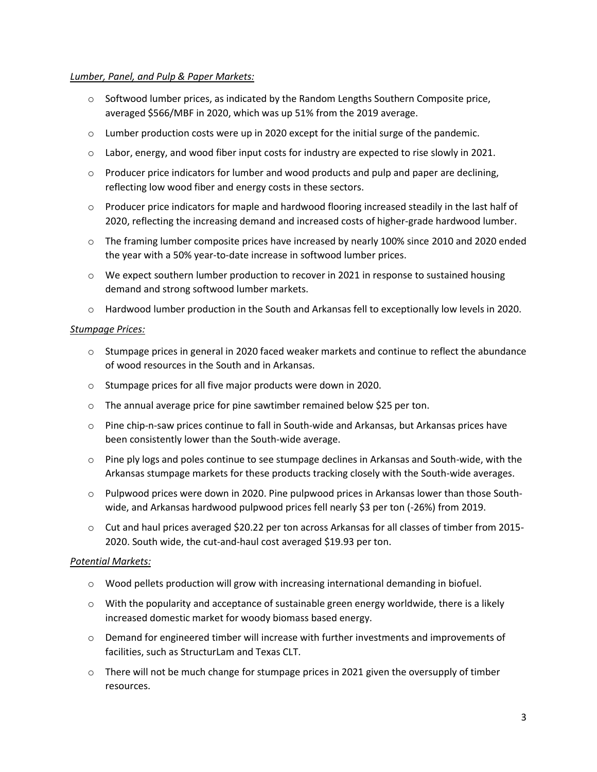#### *Lumber, Panel, and Pulp & Paper Markets:*

- $\circ$  Softwood lumber prices, as indicated by the Random Lengths Southern Composite price, averaged \$566/MBF in 2020, which was up 51% from the 2019 average.
- $\circ$  Lumber production costs were up in 2020 except for the initial surge of the pandemic.
- o Labor, energy, and wood fiber input costs for industry are expected to rise slowly in 2021.
- $\circ$  Producer price indicators for lumber and wood products and pulp and paper are declining, reflecting low wood fiber and energy costs in these sectors.
- $\circ$  Producer price indicators for maple and hardwood flooring increased steadily in the last half of 2020, reflecting the increasing demand and increased costs of higher-grade hardwood lumber.
- $\circ$  The framing lumber composite prices have increased by nearly 100% since 2010 and 2020 ended the year with a 50% year-to-date increase in softwood lumber prices.
- $\circ$  We expect southern lumber production to recover in 2021 in response to sustained housing demand and strong softwood lumber markets.
- o Hardwood lumber production in the South and Arkansas fell to exceptionally low levels in 2020.

#### *Stumpage Prices:*

- $\circ$  Stumpage prices in general in 2020 faced weaker markets and continue to reflect the abundance of wood resources in the South and in Arkansas.
- o Stumpage prices for all five major products were down in 2020.
- o The annual average price for pine sawtimber remained below \$25 per ton.
- o Pine chip-n-saw prices continue to fall in South-wide and Arkansas, but Arkansas prices have been consistently lower than the South-wide average.
- $\circ$  Pine ply logs and poles continue to see stumpage declines in Arkansas and South-wide, with the Arkansas stumpage markets for these products tracking closely with the South-wide averages.
- o Pulpwood prices were down in 2020. Pine pulpwood prices in Arkansas lower than those Southwide, and Arkansas hardwood pulpwood prices fell nearly \$3 per ton (-26%) from 2019.
- $\circ$  Cut and haul prices averaged \$20.22 per ton across Arkansas for all classes of timber from 2015-2020. South wide, the cut-and-haul cost averaged \$19.93 per ton.

#### *Potential Markets:*

- o Wood pellets production will grow with increasing international demanding in biofuel.
- $\circ$  With the popularity and acceptance of sustainable green energy worldwide, there is a likely increased domestic market for woody biomass based energy.
- o Demand for engineered timber will increase with further investments and improvements of facilities, such as StructurLam and Texas CLT.
- $\circ$  There will not be much change for stumpage prices in 2021 given the oversupply of timber resources.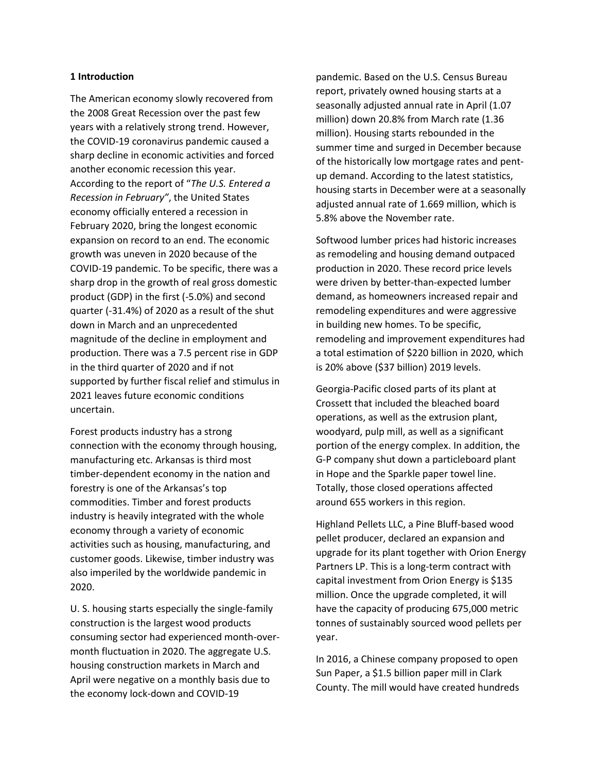#### **1 Introduction**

The American economy slowly recovered from the 2008 Great Recession over the past few years with a relatively strong trend. However, the COVID-19 coronavirus pandemic caused a sharp decline in economic activities and forced another economic recession this year. According to the report of "*The U.S. Entered a Recession in February"*, the United States economy officially entered a recession in February 2020, bring the longest economic expansion on record to an end. The economic growth was uneven in 2020 because of the COVID-19 pandemic. To be specific, there was a sharp drop in the growth of real gross domestic product (GDP) in the first (-5.0%) and second quarter (-31.4%) of 2020 as a result of the shut down in March and an unprecedented magnitude of the decline in employment and production. There was a 7.5 percent rise in GDP in the third quarter of 2020 and if not supported by further fiscal relief and stimulus in 2021 leaves future economic conditions uncertain.

Forest products industry has a strong connection with the economy through housing, manufacturing etc. Arkansas is third most timber-dependent economy in the nation and forestry is one of the Arkansas's top commodities. Timber and forest products industry is heavily integrated with the whole economy through a variety of economic activities such as housing, manufacturing, and customer goods. Likewise, timber industry was also imperiled by the worldwide pandemic in 2020.

U. S. housing starts especially the single-family construction is the largest wood products consuming sector had experienced month-overmonth fluctuation in 2020. The aggregate U.S. housing construction markets in March and April were negative on a monthly basis due to the economy lock-down and COVID-19

pandemic. Based on the U.S. Census Bureau report, privately owned housing starts at a seasonally adjusted annual rate in April (1.07 million) down 20.8% from March rate (1.36 million). Housing starts rebounded in the summer time and surged in December because of the historically low mortgage rates and pentup demand. According to the latest statistics, housing starts in December were at a seasonally adjusted annual rate of 1.669 million, which is 5.8% above the November rate.

Softwood lumber prices had historic increases as remodeling and housing demand outpaced production in 2020. These record price levels were driven by better-than-expected lumber demand, as homeowners increased repair and remodeling expenditures and were aggressive in building new homes. To be specific, remodeling and improvement expenditures had a total estimation of \$220 billion in 2020, which is 20% above (\$37 billion) 2019 levels.

Georgia-Pacific closed parts of its plant at Crossett that included the bleached board operations, as well as the extrusion plant, woodyard, pulp mill, as well as a significant portion of the energy complex. In addition, the G-P company shut down a particleboard plant in Hope and the Sparkle paper towel line. Totally, those closed operations affected around 655 workers in this region.

Highland Pellets LLC, a Pine Bluff-based wood pellet producer, declared an expansion and upgrade for its plant together with Orion Energy Partners LP. This is a long-term contract with capital investment from Orion Energy is \$135 million. Once the upgrade completed, it will have the capacity of producing 675,000 metric tonnes of sustainably sourced wood pellets per year.

In 2016, a Chinese company proposed to open Sun Paper, a \$1.5 billion paper mill in Clark County. The mill would have created hundreds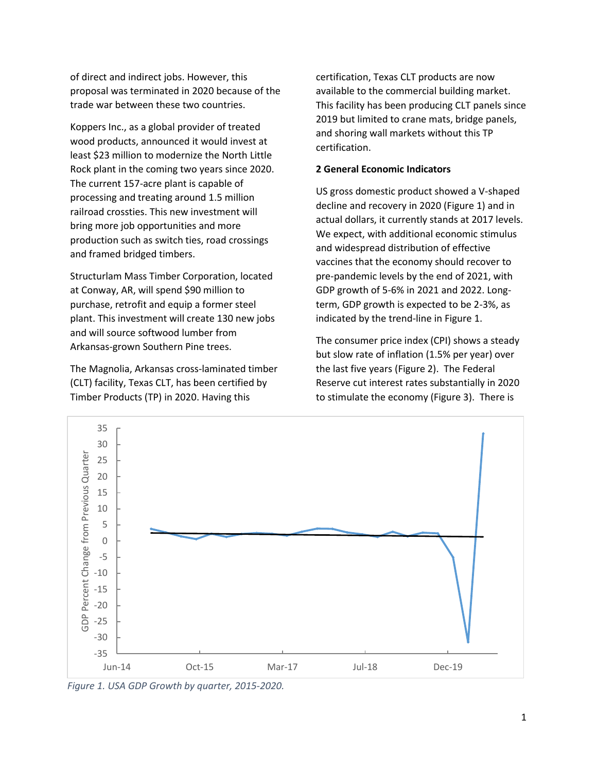of direct and indirect jobs. However, this proposal was terminated in 2020 because of the trade war between these two countries.

Koppers Inc., as a global provider of treated wood products, announced it would invest at least \$23 million to modernize the North Little Rock plant in the coming two years since 2020. The current 157-acre plant is capable of processing and treating around 1.5 million railroad crossties. This new investment will bring more job opportunities and more production such as switch ties, road crossings and framed bridged timbers.

Structurlam Mass Timber Corporation, located at Conway, AR, will spend \$90 million to purchase, retrofit and equip a former steel plant. This investment will create 130 new jobs and will source softwood lumber from Arkansas-grown Southern Pine trees.

The Magnolia, Arkansas cross-laminated timber (CLT) facility, Texas CLT, has been certified by Timber Products (TP) in 2020. Having this

certification, Texas CLT products are now available to the commercial building market. This facility has been producing CLT panels since 2019 but limited to crane mats, bridge panels, and shoring wall markets without this TP certification.

#### **2 General Economic Indicators**

US gross domestic product showed a V-shaped decline and recovery in 2020 (Figure 1) and in actual dollars, it currently stands at 2017 levels. We expect, with additional economic stimulus and widespread distribution of effective vaccines that the economy should recover to pre-pandemic levels by the end of 2021, with GDP growth of 5-6% in 2021 and 2022. Longterm, GDP growth is expected to be 2-3%, as indicated by the trend-line in Figure 1.

The consumer price index (CPI) shows a steady but slow rate of inflation (1.5% per year) over the last five years (Figure 2). The Federal Reserve cut interest rates substantially in 2020 to stimulate the economy (Figure 3). There is



*Figure 1. USA GDP Growth by quarter, 2015-2020.*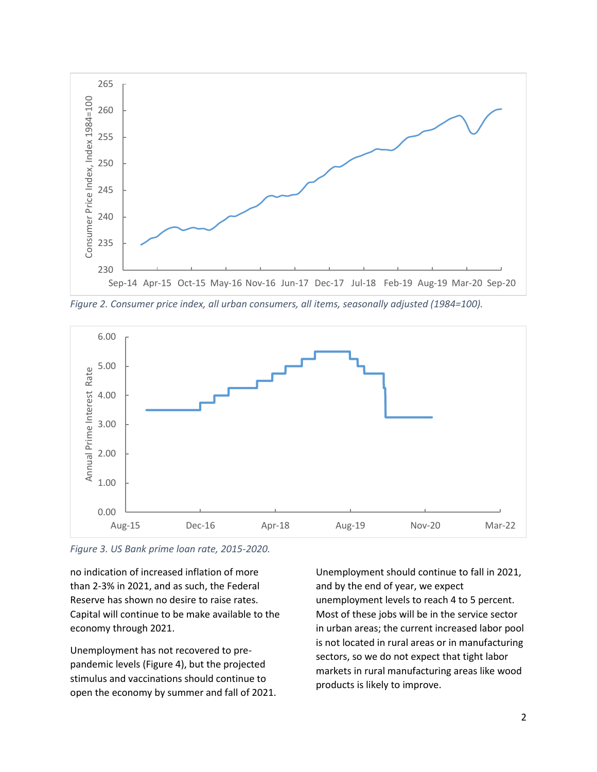

*Figure 2. Consumer price index, all urban consumers, all items, seasonally adjusted (1984=100).*



*Figure 3. US Bank prime loan rate, 2015-2020.*

no indication of increased inflation of more than 2-3% in 2021, and as such, the Federal Reserve has shown no desire to raise rates. Capital will continue to be make available to the economy through 2021.

Unemployment has not recovered to prepandemic levels (Figure 4), but the projected stimulus and vaccinations should continue to open the economy by summer and fall of 2021.

Unemployment should continue to fall in 2021, and by the end of year, we expect unemployment levels to reach 4 to 5 percent. Most of these jobs will be in the service sector in urban areas; the current increased labor pool is not located in rural areas or in manufacturing sectors, so we do not expect that tight labor markets in rural manufacturing areas like wood products is likely to improve.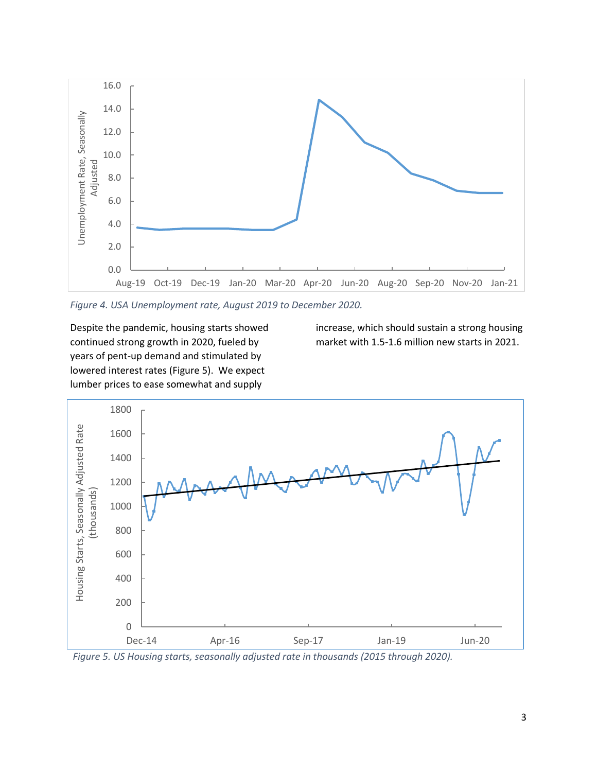

*Figure 4. USA Unemployment rate, August 2019 to December 2020.*

Despite the pandemic, housing starts showed continued strong growth in 2020, fueled by years of pent-up demand and stimulated by lowered interest rates (Figure 5). We expect lumber prices to ease somewhat and supply

increase, which should sustain a strong housing market with 1.5-1.6 million new starts in 2021.



*Figure 5. US Housing starts, seasonally adjusted rate in thousands (2015 through 2020).*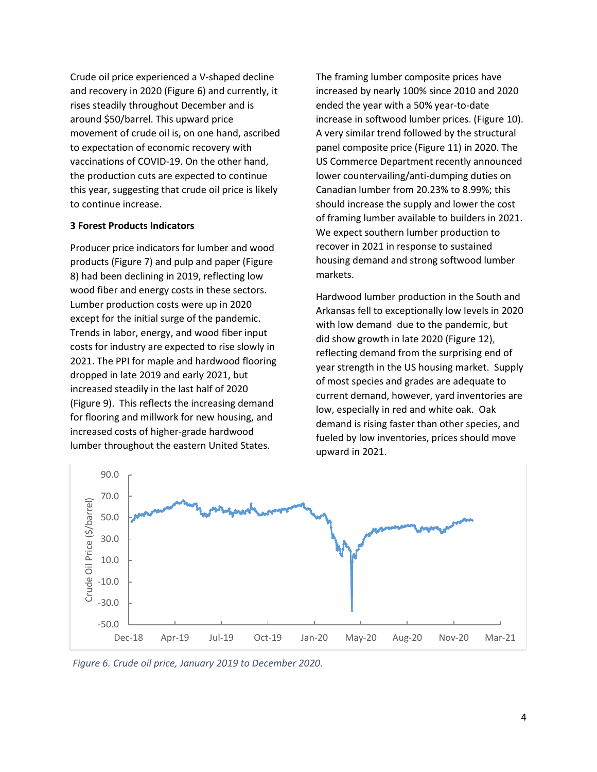Crude oil price experienced a V-shaped decline and recovery in 2020 (Figure 6) and currently, it rises steadily throughout December and is around \$50/barrel. This upward price movement of crude oil is, on one hand, ascribed to expectation of economic recovery with vaccinations of COVID-19. On the other hand, the production cuts are expected to continue this year, suggesting that crude oil price is likely to continue increase.

#### **3 Forest Products Indicators**

Producer price indicators for lumber and wood products (Figure 7) and pulp and paper (Figure 8) had been declining in 2019, reflecting low wood fiber and energy costs in these sectors. Lumber production costs were up in 2020 except for the initial surge of the pandemic. Trends in labor, energy, and wood fiber input costs for industry are expected to rise slowly in 2021. The PPI for maple and hardwood flooring dropped in late 2019 and early 2021, but increased steadily in the last half of 2020 (Figure 9). This reflects the increasing demand for flooring and millwork for new housing, and increased costs of higher-grade hardwood lumber throughout the eastern United States.

The framing lumber composite prices have increased by nearly 100% since 2010 and 2020 ended the year with a 50% year-to-date increase in softwood lumber prices. (Figure 10). A very similar trend followed by the structural panel composite price (Figure 11) in 2020. The US Commerce Department recently announced lower countervailing/anti-dumping duties on Canadian lumber from 20.23% to 8.99%; this should increase the supply and lower the cost of framing lumber available to builders in 2021. We expect southern lumber production to recover in 2021 in response to sustained housing demand and strong softwood lumber markets.

Hardwood lumber production in the South and Arkansas fell to exceptionally low levels in 2020 with low demand due to the pandemic, but did show growth in late 2020 (Figure 12), reflecting demand from the surprising end of year strength in the US housing market. Supply of most species and grades are adequate to current demand, however, yard inventories are low, especially in red and white oak. Oak demand is rising faster than other species, and fueled by low inventories, prices should move upward in 2021.



*Figure 6. Crude oil price, January 2019 to December 2020.*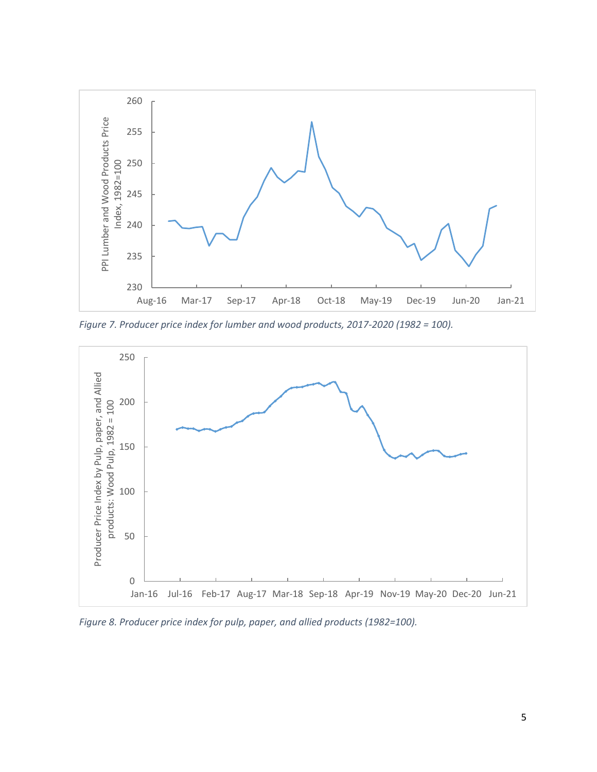

*Figure 7. Producer price index for lumber and wood products, 2017-2020 (1982 = 100).*



*Figure 8. Producer price index for pulp, paper, and allied products (1982=100).*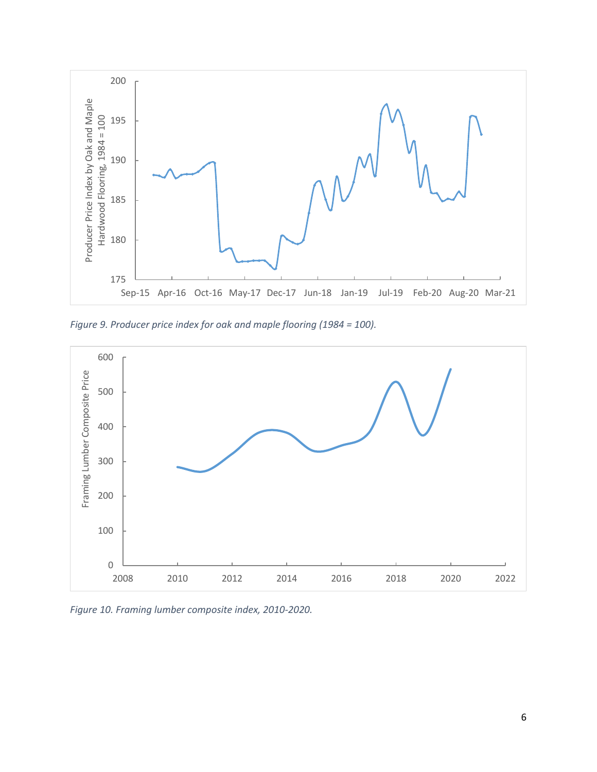

*Figure 9. Producer price index for oak and maple flooring (1984 = 100).*



*Figure 10. Framing lumber composite index, 2010-2020.*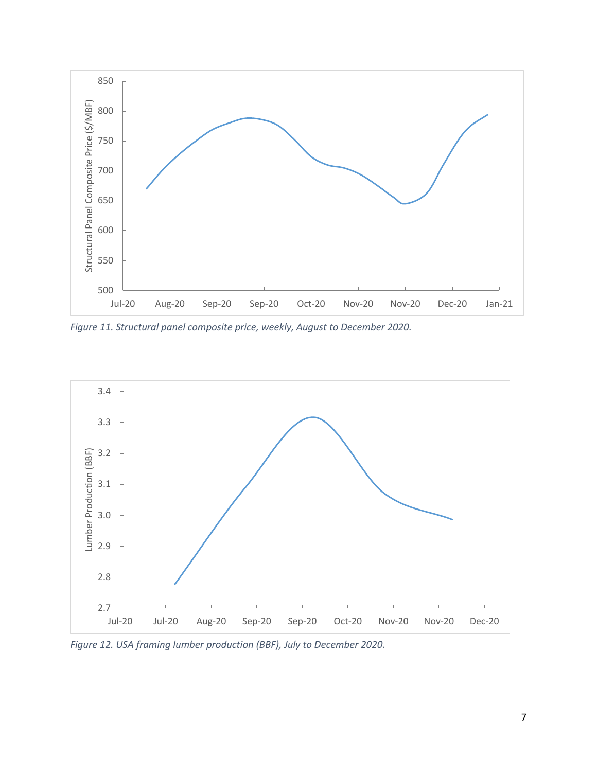

*Figure 11. Structural panel composite price, weekly, August to December 2020.*



*Figure 12. USA framing lumber production (BBF), July to December 2020.*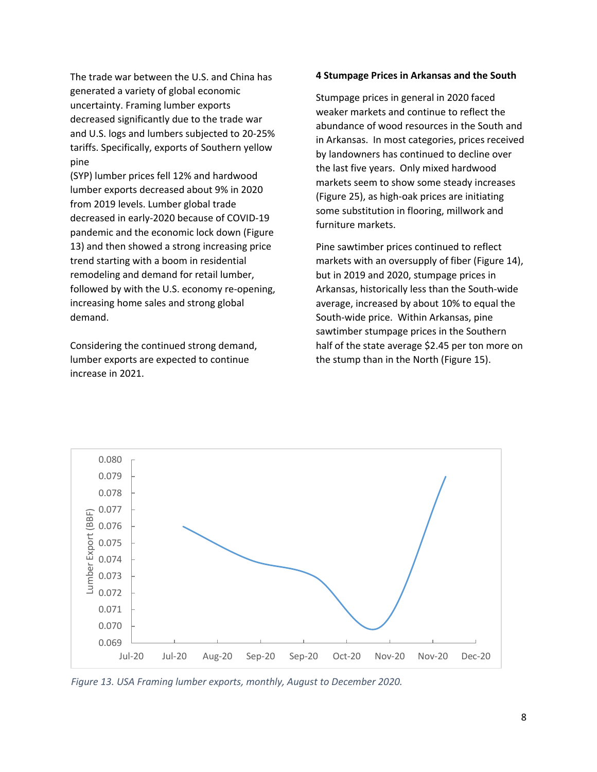The trade war between the U.S. and China has generated a variety of global economic uncertainty. Framing lumber exports decreased significantly due to the trade war and U.S. logs and lumbers subjected to 20-25% tariffs. Specifically, exports of Southern yellow pine

(SYP) lumber prices fell 12% and hardwood lumber exports decreased about 9% in 2020 from 2019 levels. Lumber global trade decreased in early-2020 because of COVID-19 pandemic and the economic lock down (Figure 13) and then showed a strong increasing price trend starting with a boom in residential remodeling and demand for retail lumber, followed by with the U.S. economy re-opening, increasing home sales and strong global demand.

Considering the continued strong demand, lumber exports are expected to continue increase in 2021.

#### **4 Stumpage Prices in Arkansas and the South**

Stumpage prices in general in 2020 faced weaker markets and continue to reflect the abundance of wood resources in the South and in Arkansas. In most categories, prices received by landowners has continued to decline over the last five years. Only mixed hardwood markets seem to show some steady increases (Figure 25), as high-oak prices are initiating some substitution in flooring, millwork and furniture markets.

Pine sawtimber prices continued to reflect markets with an oversupply of fiber (Figure 14), but in 2019 and 2020, stumpage prices in Arkansas, historically less than the South-wide average, increased by about 10% to equal the South-wide price. Within Arkansas, pine sawtimber stumpage prices in the Southern half of the state average \$2.45 per ton more on the stump than in the North (Figure 15).



*Figure 13. USA Framing lumber exports, monthly, August to December 2020.*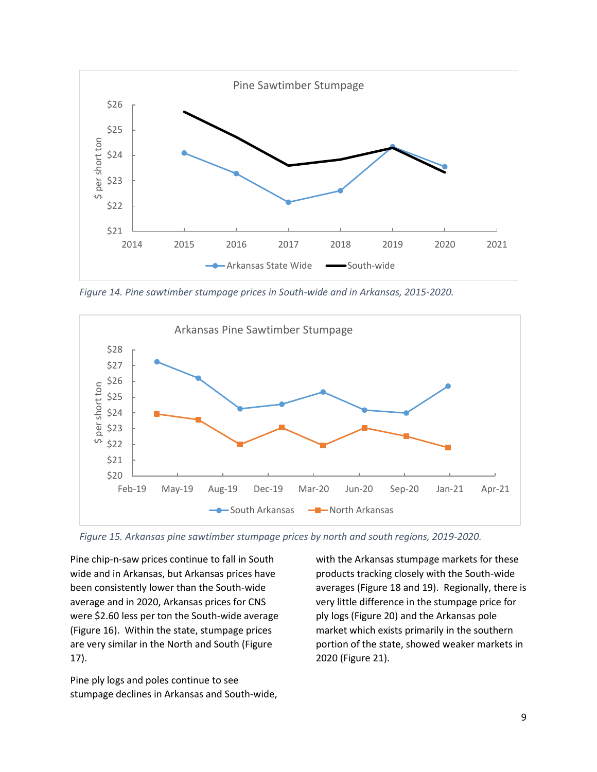

*Figure 14. Pine sawtimber stumpage prices in South-wide and in Arkansas, 2015-2020.*



*Figure 15. Arkansas pine sawtimber stumpage prices by north and south regions, 2019-2020.*

Pine chip-n-saw prices continue to fall in South wide and in Arkansas, but Arkansas prices have been consistently lower than the South-wide average and in 2020, Arkansas prices for CNS were \$2.60 less per ton the South-wide average (Figure 16). Within the state, stumpage prices are very similar in the North and South (Figure 17).

Pine ply logs and poles continue to see stumpage declines in Arkansas and South-wide, with the Arkansas stumpage markets for these products tracking closely with the South-wide averages (Figure 18 and 19). Regionally, there is very little difference in the stumpage price for ply logs (Figure 20) and the Arkansas pole market which exists primarily in the southern portion of the state, showed weaker markets in 2020 (Figure 21).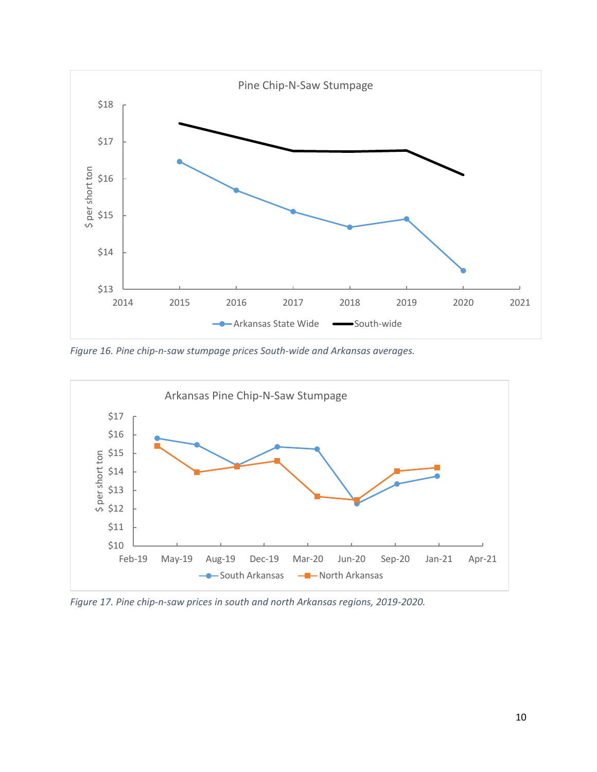

*Figure 16. Pine chip-n-saw stumpage prices South-wide and Arkansas averages.*



*Figure 17. Pine chip-n-saw prices in south and north Arkansas regions, 2019-2020.*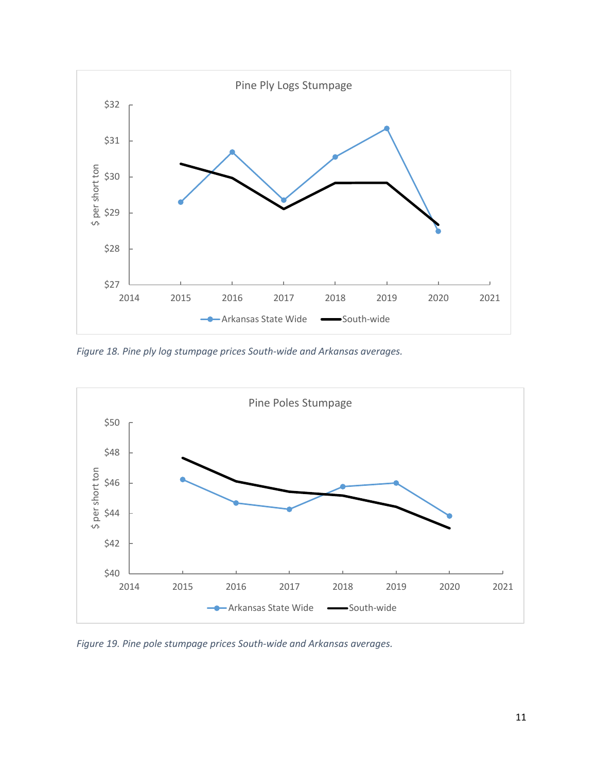

*Figure 18. Pine ply log stumpage prices South-wide and Arkansas averages.*



*Figure 19. Pine pole stumpage prices South-wide and Arkansas averages.*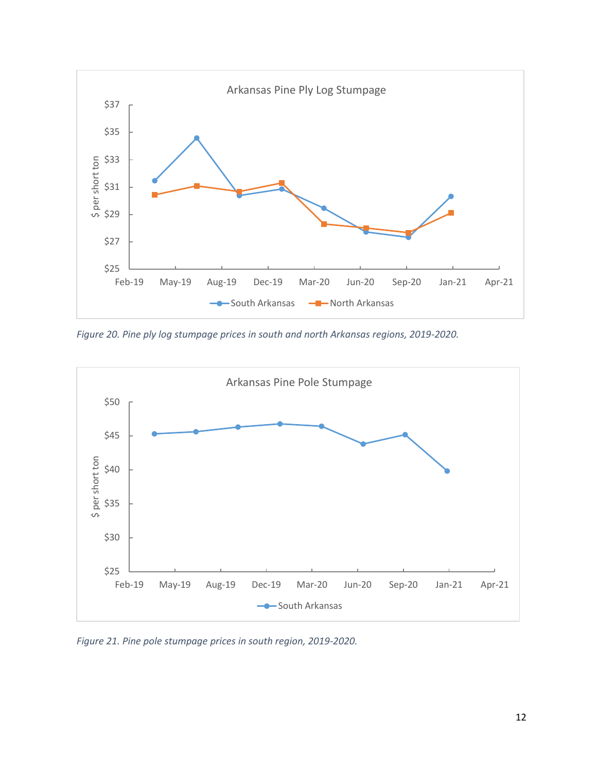

*Figure 20. Pine ply log stumpage prices in south and north Arkansas regions, 2019-2020.*



*Figure 21. Pine pole stumpage prices in south region, 2019-2020.*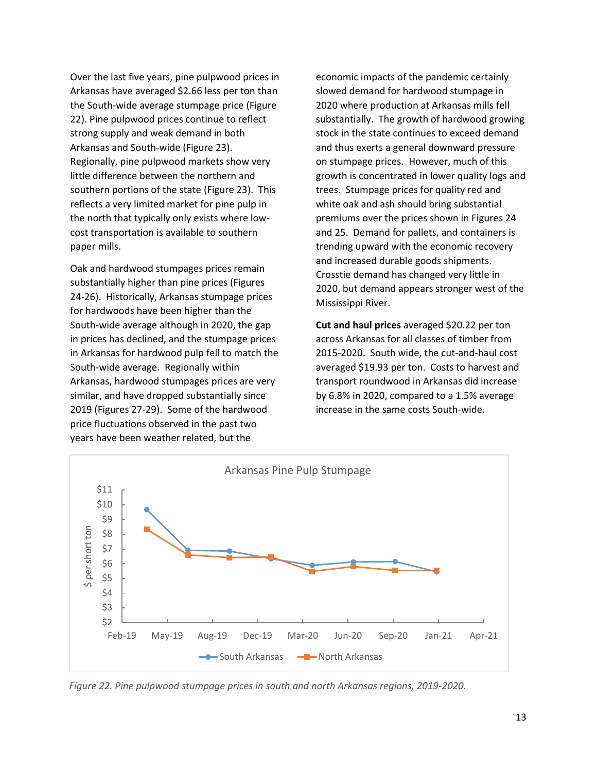Over the last five years, pine pulpwood prices in Arkansas have averaged \$2.66 less per ton than the South-wide average stumpage price (Figure 22). Pine pulpwood prices continue to reflect strong supply and weak demand in both Arkansas and South-wide (Figure 23). Regionally, pine pulpwood markets show very little difference between the northern and southern portions of the state (Figure 23). This reflects a very limited market for pine pulp in the north that typically only exists where lowcost transportation is available to southern paper mills.

Oak and hardwood stumpages prices remain substantially higher than pine prices (Figures 24-26). Historically, Arkansas stumpage prices for hardwoods have been higher than the South-wide average although in 2020, the gap in prices has declined, and the stumpage prices in Arkansas for hardwood pulp fell to match the South-wide average. Regionally within Arkansas, hardwood stumpages prices are very similar, and have dropped substantially since 2019 (Figures 27-29). Some of the hardwood price fluctuations observed in the past two years have been weather related, but the

economic impacts of the pandemic certainly slowed demand for hardwood stumpage in 2020 where production at Arkansas mills fell substantially. The growth of hardwood growing stock in the state continues to exceed demand and thus exerts a general downward pressure on stumpage prices. However, much of this growth is concentrated in lower quality logs and trees. Stumpage prices for quality red and white oak and ash should bring substantial premiums over the prices shown in Figures 24 and 25. Demand for pallets, and containers is trending upward with the economic recovery and increased durable goods shipments. Crosstie demand has changed very little in 2020, but demand appears stronger west of the Mississippi River.

**Cut and haul prices** averaged \$20.22 per ton across Arkansas for all classes of timber from 2015-2020. South wide, the cut-and-haul cost averaged \$19.93 per ton. Costs to harvest and transport roundwood in Arkansas did increase by 6.8% in 2020, compared to a 1.5% average increase in the same costs South-wide.



*Figure 22. Pine pulpwood stumpage prices in south and north Arkansas regions, 2019-2020.*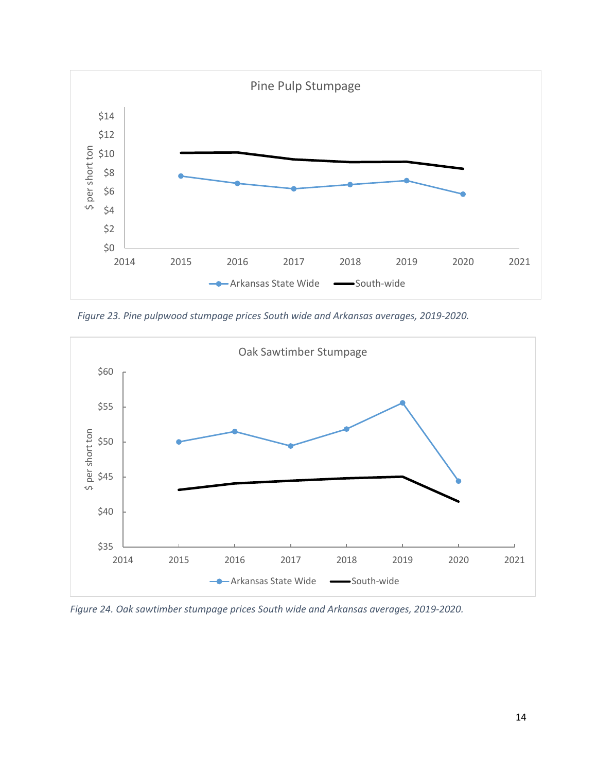

*Figure 23. Pine pulpwood stumpage prices South wide and Arkansas averages, 2019-2020.*



*Figure 24. Oak sawtimber stumpage prices South wide and Arkansas averages, 2019-2020.*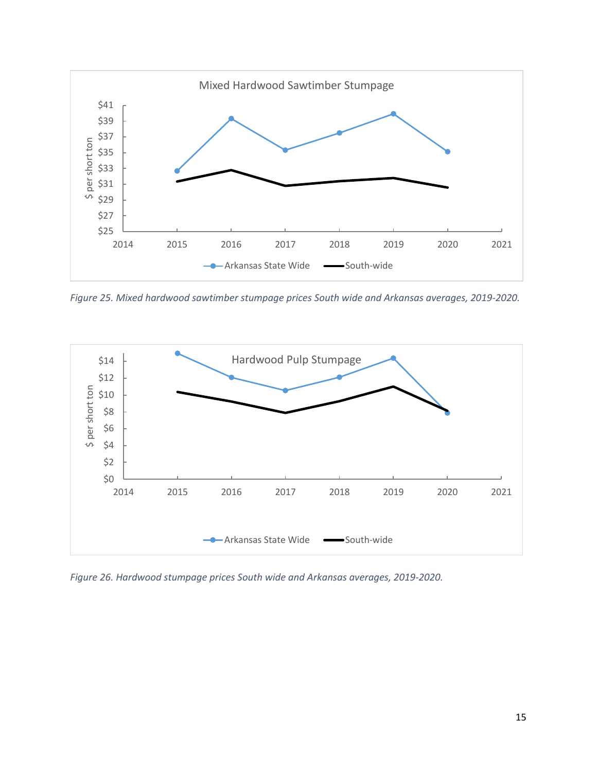

*Figure 25. Mixed hardwood sawtimber stumpage prices South wide and Arkansas averages, 2019-2020.*



*Figure 26. Hardwood stumpage prices South wide and Arkansas averages, 2019-2020.*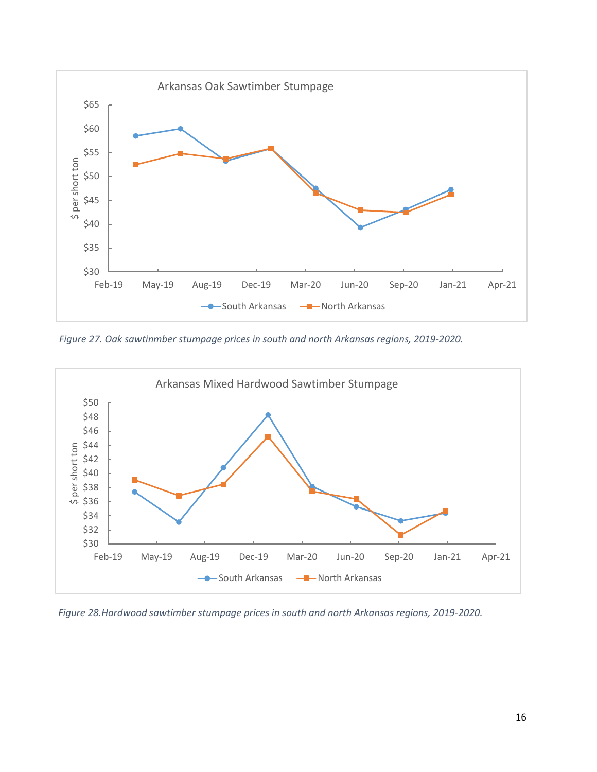

*Figure 27. Oak sawtinmber stumpage prices in south and north Arkansas regions, 2019-2020.*



*Figure 28.Hardwood sawtimber stumpage prices in south and north Arkansas regions, 2019-2020.*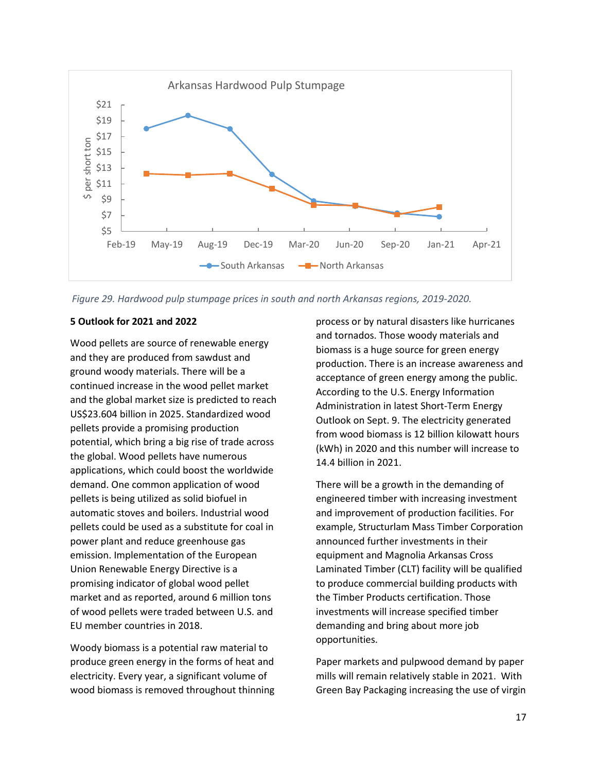

*Figure 29. Hardwood pulp stumpage prices in south and north Arkansas regions, 2019-2020.*

#### **5 Outlook for 2021 and 2022**

Wood pellets are source of renewable energy and they are produced from sawdust and ground woody materials. There will be a continued increase in the wood pellet market and the global market size is predicted to reach US\$23.604 billion in 2025. Standardized wood pellets provide a promising production potential, which bring a big rise of trade across the global. Wood pellets have numerous applications, which could boost the worldwide demand. One common application of wood pellets is being utilized as solid biofuel in automatic stoves and boilers. Industrial wood pellets could be used as a substitute for coal in power plant and reduce greenhouse gas emission. Implementation of the European Union Renewable Energy Directive is a promising indicator of global wood pellet market and as reported, around 6 million tons of wood pellets were traded between U.S. and EU member countries in 2018.

Woody biomass is a potential raw material to produce green energy in the forms of heat and electricity. Every year, a significant volume of wood biomass is removed throughout thinning

process or by natural disasters like hurricanes and tornados. Those woody materials and biomass is a huge source for green energy production. There is an increase awareness and acceptance of green energy among the public. According to the U.S. Energy Information Administration in latest Short-Term Energy Outlook on Sept. 9. The electricity generated from wood biomass is 12 billion kilowatt hours (kWh) in 2020 and this number will increase to 14.4 billion in 2021.

There will be a growth in the demanding of engineered timber with increasing investment and improvement of production facilities. For example, Structurlam Mass Timber Corporation announced further investments in their equipment and Magnolia Arkansas Cross Laminated Timber (CLT) facility will be qualified to produce commercial building products with the Timber Products certification. Those investments will increase specified timber demanding and bring about more job opportunities.

Paper markets and pulpwood demand by paper mills will remain relatively stable in 2021. With Green Bay Packaging increasing the use of virgin